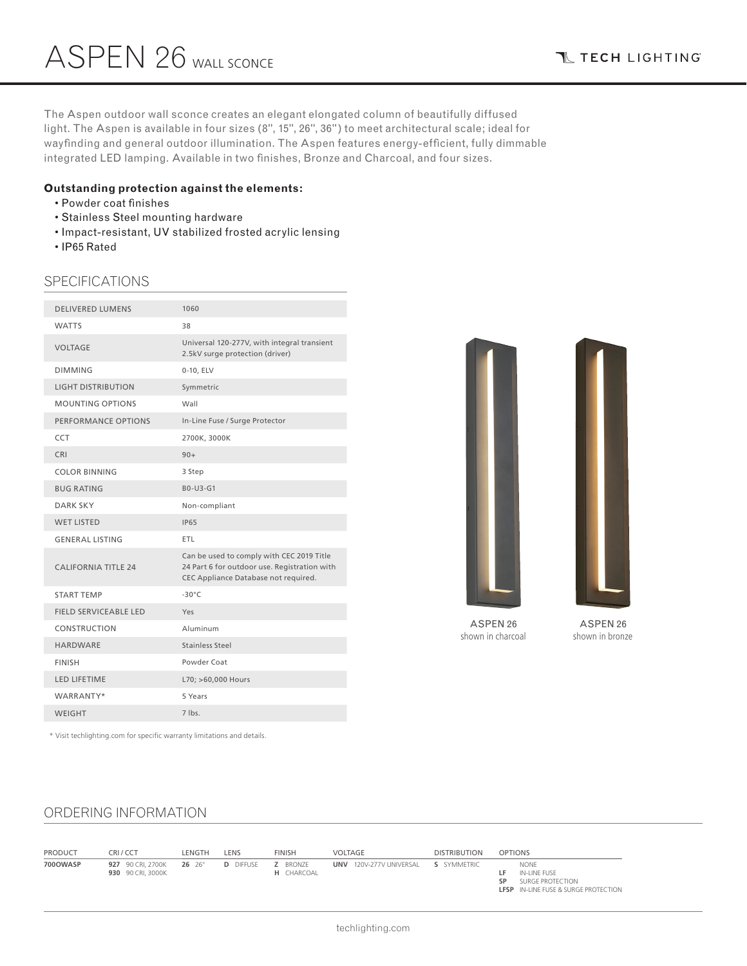**T TECH LIGHTING** 

The Aspen outdoor wall sconce creates an elegant elongated column of beautifully diffused light. The Aspen is available in four sizes (8", 15", 26", 36") to meet architectural scale; ideal for wayfinding and general outdoor illumination. The Aspen features energy-efficient, fully dimmable integrated LED lamping. Available in two finishes, Bronze and Charcoal, and four sizes.

### **Outstanding protection against the elements:**

- Powder coat finishes
- Stainless Steel mounting hardware
- Impact-resistant, UV stabilized frosted acrylic lensing
- IP65 Rated

### SPECIFICATIONS

| <b>DELIVERED LUMENS</b>      | 1060                                                                                                                              |
|------------------------------|-----------------------------------------------------------------------------------------------------------------------------------|
| <b>WATTS</b>                 | 38                                                                                                                                |
| <b>VOLTAGE</b>               | Universal 120-277V, with integral transient<br>2.5kV surge protection (driver)                                                    |
| <b>DIMMING</b>               | 0-10, ELV                                                                                                                         |
| <b>LIGHT DISTRIBUTION</b>    | Symmetric                                                                                                                         |
| <b>MOUNTING OPTIONS</b>      | Wall                                                                                                                              |
| PERFORMANCE OPTIONS          | In-Line Fuse / Surge Protector                                                                                                    |
| CCT                          | 2700K, 3000K                                                                                                                      |
| CRI                          | $90+$                                                                                                                             |
| <b>COLOR BINNING</b>         | 3 Step                                                                                                                            |
| <b>BUG RATING</b>            | B0-U3-G1                                                                                                                          |
| <b>DARK SKY</b>              | Non-compliant                                                                                                                     |
| <b>WET LISTED</b>            | <b>IP65</b>                                                                                                                       |
| <b>GENERAL LISTING</b>       | ETL                                                                                                                               |
| <b>CALIFORNIA TITLE 24</b>   | Can be used to comply with CEC 2019 Title<br>24 Part 6 for outdoor use. Registration with<br>CEC Appliance Database not required. |
| <b>START TEMP</b>            | $-30^{\circ}$ C                                                                                                                   |
| <b>FIELD SERVICEABLE LED</b> | Yes                                                                                                                               |
| CONSTRUCTION                 | Aluminum                                                                                                                          |
| <b>HARDWARE</b>              | <b>Stainless Steel</b>                                                                                                            |
| <b>FINISH</b>                | Powder Coat                                                                                                                       |
| <b>LED LIFETIME</b>          | L70; >60,000 Hours                                                                                                                |
| WARRANTY*                    | 5 Years                                                                                                                           |
| <b>WEIGHT</b>                | 7 lbs.                                                                                                                            |
|                              |                                                                                                                                   |



ASPEN 26 shown in charcoal

ASPEN 26 shown in bronze

\* Visit techlighting.com for specific warranty limitations and details.

## ORDERING INFORMATION

| <b>PRODUCT</b> | CRI/CCT                                | LENGTH | LENS             | <b>FINISH</b>                 | VOLTAGE                 | <b>DISTRIBUTION</b> | <b>OPTIONS</b>                                                                                       |
|----------------|----------------------------------------|--------|------------------|-------------------------------|-------------------------|---------------------|------------------------------------------------------------------------------------------------------|
| 700OWASP       | 927 90 CRI, 2700K<br>930 90 CRI, 3000K | 26 26" | <b>D</b> DIFFUSE | <b>Z</b> BRONZE<br>H CHARCOAL | UNV 120V-277V UNIVERSAL | S SYMMETRIC         | <b>NONE</b><br>IN-LINE FUSE<br>SURGE PROTECTION<br>SP<br><b>LFSP</b> IN-LINE FUSE & SURGE PROTECTION |